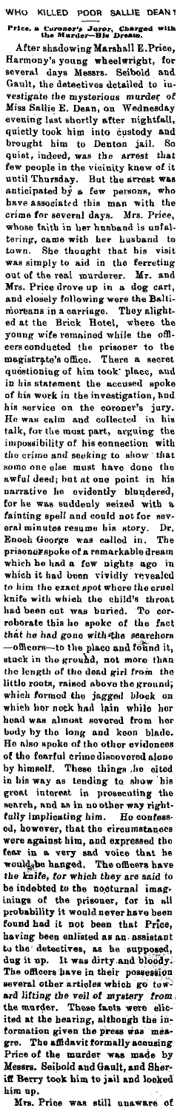VHO KILLED POOR SALLIE rrice. a Curoner's Juror, Charged with the Murder-Dis Dream.

After shadowing Marshall E.Price,<br>Harmony's young wheelwright, for<br>several days Messrs. Seibold and<br>Gault, the detectives detailed to iuvestigate the mysterious murder of<br>Miss Salilo E. Dean, on Wednesday<br>evening last shortly after nightfall,<br>quietly took him into custody and<br>brought him to Denton jail. So<br>quiet, indeed, was the arrest that<br>for pool for th out of the real murderer. Mr. and<br>Mrs. Price drove up in a dog eart;<br>and Mrs. Price drove up in a dog eart;<br>and coloning were the Balti-<br>miorenns in a carringe. They alight-<br>ed at the Brick Hotel, where the<br>poung wife rema oral minutes resume his story. Dr.<br>Enoch George was called in. The prisone<br>diverge was called in. The prisone<br>divergence of a remarkable dream which he had a few nights ago in<br>which he had a few nights ago in<br>to him the e which hor nock had lain while her<br>head was almost sovered from her<br>hoody by the long and koon blade.<br>He also spoke of the other evidences<br>of the fearful crime discovered alone<br>by himself. These things the cited<br>in his way inings of the prisoner, for in all<br>probability it would never have been<br>found had it not been that Price,<br>having been enlisted as an assistant<br>to the detectives, as he supposed,<br>dug it up. It was dirty and bloody.<br>The offi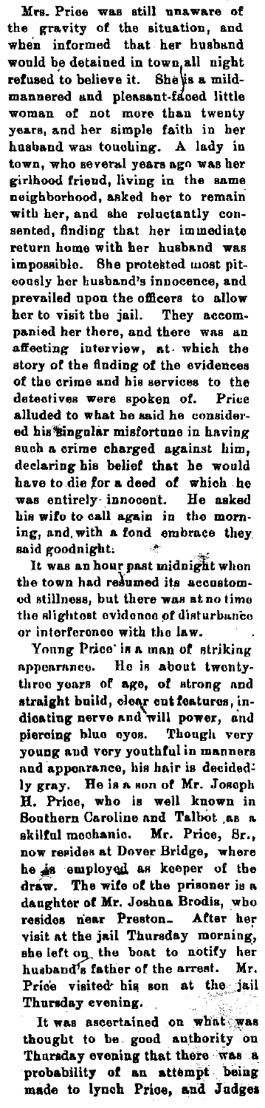**Mn. Price was still unaware** *ol*  **the gravity of the situation, and**  when informed that her husband would be detained in town, all night refused to believe it. She\is a mild-<br>mannered and pleasant-faced little<br>woman of not more than twenty **years, and her simple faith in her**  husband was touching. A lady in town, who several years ago was her **girlhood friend, living in the same**  neighborhood, asked her to remain **with her, and she reluctantly con•**  sented, finding that her immediate **return home with her husband was**  impossible. She protested most piteously her husband's innocence, and prevailed upon the officers to allow her to visit the jail. They accompanied her there, and there was an **affecting interview, at- which the**  story of the finding of the evidences **of tbe crime and his services to the detectives were spoken of. Price**  alluded to what be said he considered his singular misfortune in having **such a crime charged against him,**  declaring his belief that he would<br>have to die for a deed of which he was entirely innocent. He asked<br>his wife to call again in the morn-<br>ing, and with a fond embrace they said goodnight.

It was an hour past midnight when<br>the town had resumed its accustom**od Atillnoes, but there wae at no timo the Rlightoat evidonoo ~f diAturbu,nCo**   $or$  interference with the law.

Young Price is a man of striking nppenranco, lle ia about twentythreo year• of **ago, of** strong nnd straight build, clear cut features, in-<br>dieating nerve and will power, and piercing blue eyes. Though very **young aud vory youthful in mannere**  and apponranco, his hair is deeidod' ly gray. He is a son of Mr. Joseph **H. Prioe, who is well known in**  Southern Caroline and Talbot .aa n. skilful mechanio. Mr. Price, Br., now resides at Dover Bridge, where he is employed as keeper of the<br>draw. The wife of the prisoner is a dangbter of Mr. Joshua Brodis, who resides near Preston<sub>-</sub> After her visit at the jail Thursday morning, ehe left on the boat to notify her husband's father of the arrest. Mr. Price visited his son at the jail Thursday evening.

It was ascertained on what was thought to be good authority on Thursday evening that there was a probability of an attempt being made to lynch Price, and Judges